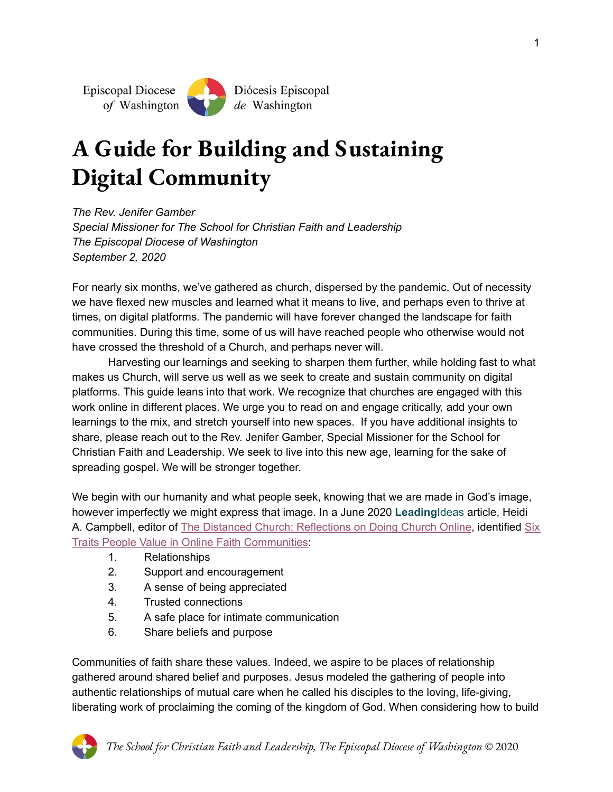# **A Guide for Building and Sustaining Digital Community**

*The Rev. Jenifer Gamber Special Missioner for The School for Christian Faith and Leadership The Episcopal Diocese of Washington September 2, 2020*

For nearly six months, we've gathered as church, dispersed by the pandemic. Out of necessity we have flexed new muscles and learned what it means to live, and perhaps even to thrive at times, on digital platforms. The pandemic will have forever changed the landscape for faith communities. During this time, some of us will have reached people who otherwise would not have crossed the threshold of a Church, and perhaps never will.

Harvesting our learnings and seeking to sharpen them further, while holding fast to what makes us Church, will serve us well as we seek to create and sustain community on digital platforms. This guide leans into that work. We recognize that churches are engaged with this work online in different places. We urge you to read on and engage critically, add your own learnings to the mix, and stretch yourself into new spaces. If you have additional insights to share, please reach out to the Rev. Jenifer Gamber, Special Missioner for the School for Christian Faith and Leadership. We seek to live into this new age, learning for the sake of spreading gospel. We will be stronger together.

We begin with our humanity and what people seek, knowing that we are made in God's image, however imperfectly we might express that image. In a June 2020 **Leading**Ideas article, Heidi A. Campbell, editor of [T](https://oaktrust.library.tamu.edu/bitstream/handle/1969.1/187891/Distanced%20Church-PDF-landscape-FINAL%20version.pdf?sequence=1&isAllowed=y)he Distanced Church: [Reflections](https://oaktrust.library.tamu.edu/bitstream/handle/1969.1/187891/Distanced%20Church-PDF-landscape-FINAL%20version.pdf?sequence=1&isAllowed=y) on Doing Church Online, i[d](https://mcusercontent.com/8a6d1da170000fa3c8cc54f28/files/d5a57e84-9814-4052-a8df-35c780f96586/6_Traits_People_Value_in_Online_Faith_Communities_Lewis_Center_for_Church_Leadership.pdf)entified [Six](https://mcusercontent.com/8a6d1da170000fa3c8cc54f28/files/d5a57e84-9814-4052-a8df-35c780f96586/6_Traits_People_Value_in_Online_Faith_Communities_Lewis_Center_for_Church_Leadership.pdf) Traits People Value in Online Faith [Communities:](https://mcusercontent.com/8a6d1da170000fa3c8cc54f28/files/d5a57e84-9814-4052-a8df-35c780f96586/6_Traits_People_Value_in_Online_Faith_Communities_Lewis_Center_for_Church_Leadership.pdf)

- 1. Relationships
- 2. Support and encouragement
- 3. A sense of being appreciated
- 4. Trusted connections
- 5. A safe place for intimate communication
- 6. Share beliefs and purpose

Communities of faith share these values. Indeed, we aspire to be places of relationship gathered around shared belief and purposes. Jesus modeled the gathering of people into authentic relationships of mutual care when he called his disciples to the loving, life-giving, liberating work of proclaiming the coming of the kingdom of God. When considering how to build

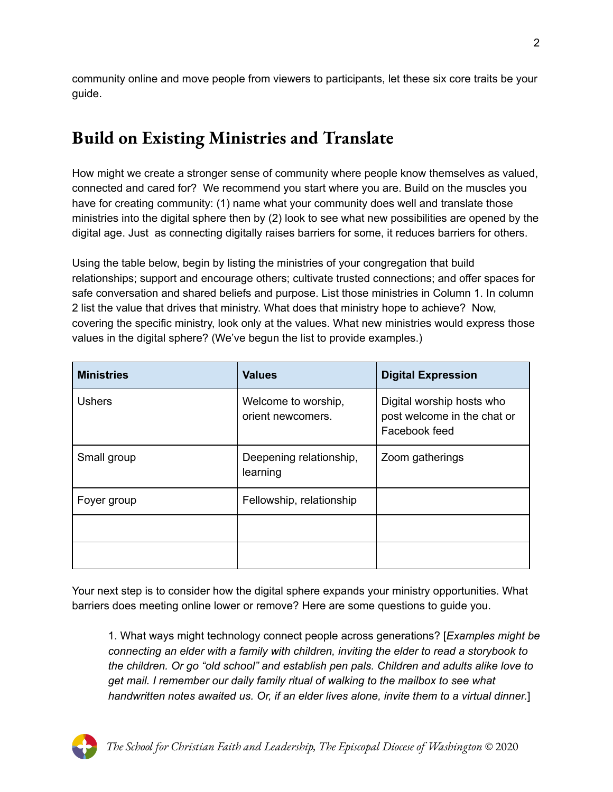community online and move people from viewers to participants, let these six core traits be your guide.

## **Build on Existing Ministries and Translate**

How might we create a stronger sense of community where people know themselves as valued, connected and cared for? We recommend you start where you are. Build on the muscles you have for creating community: (1) name what your community does well and translate those ministries into the digital sphere then by (2) look to see what new possibilities are opened by the digital age. Just as connecting digitally raises barriers for some, it reduces barriers for others.

Using the table below, begin by listing the ministries of your congregation that build relationships; support and encourage others; cultivate trusted connections; and offer spaces for safe conversation and shared beliefs and purpose. List those ministries in Column 1. In column 2 list the value that drives that ministry. What does that ministry hope to achieve? Now, covering the specific ministry, look only at the values. What new ministries would express those values in the digital sphere? (We've begun the list to provide examples.)

| <b>Ministries</b> | <b>Values</b>                            | <b>Digital Expression</b>                                                 |
|-------------------|------------------------------------------|---------------------------------------------------------------------------|
| <b>Ushers</b>     | Welcome to worship,<br>orient newcomers. | Digital worship hosts who<br>post welcome in the chat or<br>Facebook feed |
| Small group       | Deepening relationship,<br>learning      | Zoom gatherings                                                           |
| Foyer group       | Fellowship, relationship                 |                                                                           |
|                   |                                          |                                                                           |
|                   |                                          |                                                                           |

Your next step is to consider how the digital sphere expands your ministry opportunities. What barriers does meeting online lower or remove? Here are some questions to guide you.

1. What ways might technology connect people across generations? [*Examples might be connecting an elder with a family with children, inviting the elder to read a storybook to the children. Or go "old school" and establish pen pals. Children and adults alike love to get mail. I remember our daily family ritual of walking to the mailbox to see what handwritten notes awaited us. Or, if an elder lives alone, invite them to a virtual dinner.*]

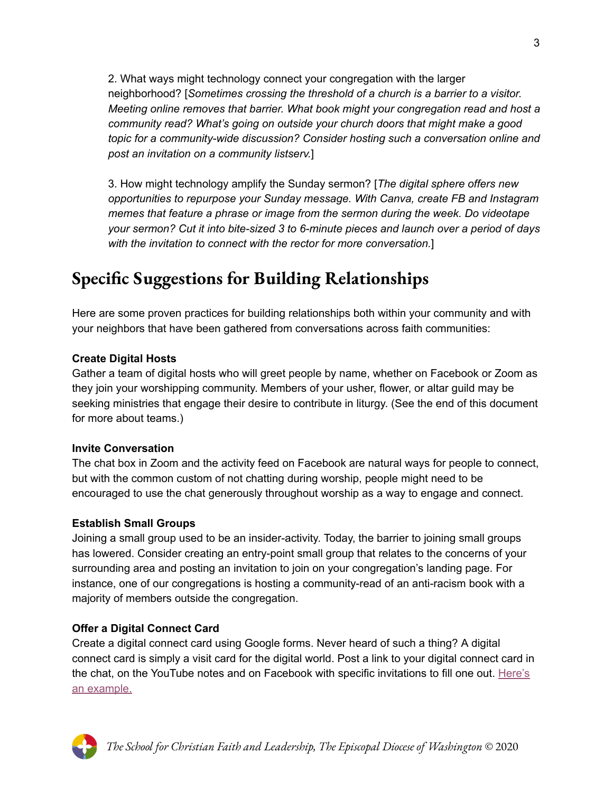2. What ways might technology connect your congregation with the larger neighborhood? [*Sometimes crossing the threshold of a church is a barrier to a visitor. Meeting online removes that barrier. What book might your congregation read and host a community read? What's going on outside your church doors that might make a good topic for a community-wide discussion? Consider hosting such a conversation online and post an invitation on a community listserv.*]

3. How might technology amplify the Sunday sermon? [*The digital sphere offers new opportunities to repurpose your Sunday message. With Canva, create FB and Instagram memes that feature a phrase or image from the sermon during the week. Do videotape your sermon? Cut it into bite-sized 3 to 6-minute pieces and launch over a period of days with the invitation to connect with the rector for more conversation.*]

## **Specific Suggestions for Building Relationships**

Here are some proven practices for building relationships both within your community and with your neighbors that have been gathered from conversations across faith communities:

#### **Create Digital Hosts**

Gather a team of digital hosts who will greet people by name, whether on Facebook or Zoom as they join your worshipping community. Members of your usher, flower, or altar guild may be seeking ministries that engage their desire to contribute in liturgy. (See the end of this document for more about teams.)

#### **Invite Conversation**

The chat box in Zoom and the activity feed on Facebook are natural ways for people to connect, but with the common custom of not chatting during worship, people might need to be encouraged to use the chat generously throughout worship as a way to engage and connect.

#### **Establish Small Groups**

Joining a small group used to be an insider-activity. Today, the barrier to joining small groups has lowered. Consider creating an entry-point small group that relates to the concerns of your surrounding area and posting an invitation to join on your congregation's landing page. For instance, one of our congregations is hosting a community-read of an anti-racism book with a majority of members outside the congregation.

#### **Offer a Digital Connect Card**

Create a digital connect card using Google forms. Never heard of such a thing? A digital connect card is simply a visit card for the digital world. Post a link to your digital connect card in the chat, on the YouTube notes and on Facebook with specific invitations to fill one out. [Here's](https://docs.google.com/forms/d/e/1FAIpQLSedwYa_fE30titF8WCiNeRjv69qFdxFr8wieNjvp_LZMSkngg/viewform) an [example.](https://docs.google.com/forms/d/e/1FAIpQLSedwYa_fE30titF8WCiNeRjv69qFdxFr8wieNjvp_LZMSkngg/viewform)

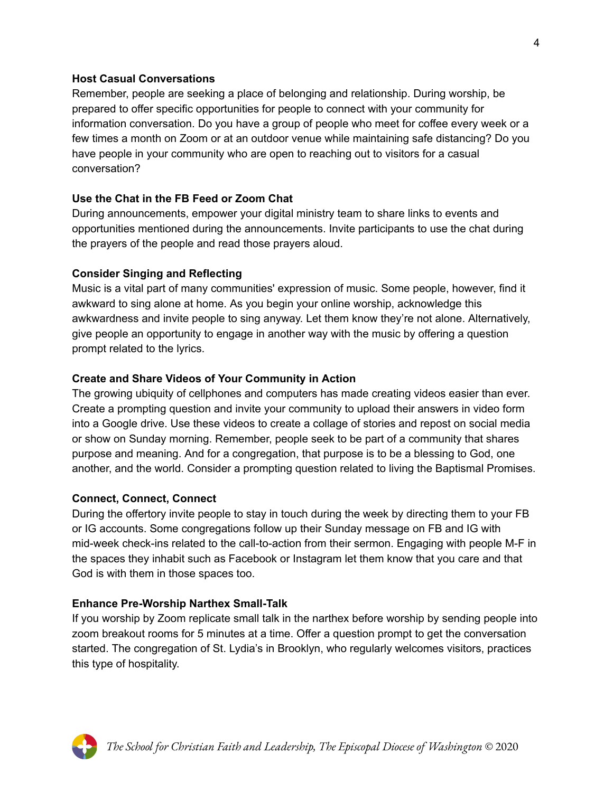#### **Host Casual Conversations**

Remember, people are seeking a place of belonging and relationship. During worship, be prepared to offer specific opportunities for people to connect with your community for information conversation. Do you have a group of people who meet for coffee every week or a few times a month on Zoom or at an outdoor venue while maintaining safe distancing? Do you have people in your community who are open to reaching out to visitors for a casual conversation?

#### **Use the Chat in the FB Feed or Zoom Chat**

During announcements, empower your digital ministry team to share links to events and opportunities mentioned during the announcements. Invite participants to use the chat during the prayers of the people and read those prayers aloud.

#### **Consider Singing and Reflecting**

Music is a vital part of many communities' expression of music. Some people, however, find it awkward to sing alone at home. As you begin your online worship, acknowledge this awkwardness and invite people to sing anyway. Let them know they're not alone. Alternatively, give people an opportunity to engage in another way with the music by offering a question prompt related to the lyrics.

#### **Create and Share Videos of Your Community in Action**

The growing ubiquity of cellphones and computers has made creating videos easier than ever. Create a prompting question and invite your community to upload their answers in video form into a Google drive. Use these videos to create a collage of stories and repost on social media or show on Sunday morning. Remember, people seek to be part of a community that shares purpose and meaning. And for a congregation, that purpose is to be a blessing to God, one another, and the world. Consider a prompting question related to living the Baptismal Promises.

#### **Connect, Connect, Connect**

During the offertory invite people to stay in touch during the week by directing them to your FB or IG accounts. Some congregations follow up their Sunday message on FB and IG with mid-week check-ins related to the call-to-action from their sermon. Engaging with people M-F in the spaces they inhabit such as Facebook or Instagram let them know that you care and that God is with them in those spaces too.

#### **Enhance Pre-Worship Narthex Small-Talk**

If you worship by Zoom replicate small talk in the narthex before worship by sending people into zoom breakout rooms for 5 minutes at a time. Offer a question prompt to get the conversation started. The congregation of St. Lydia's in Brooklyn, who regularly welcomes visitors, practices this type of hospitality.